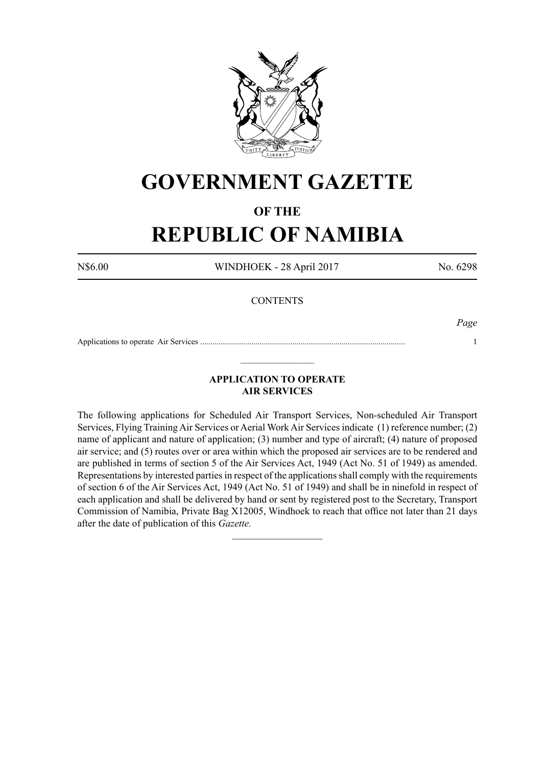

# **GOVERNMENT GAZETTE**

# **OF THE**

# **REPUBLIC OF NAMIBIA**

N\$6.00 WINDHOEK - 28 April 2017 No. 6298

# **CONTENTS**

*Page*

Applications to operate Air Services .................................................................................................... 1  $\_$ 

# **APPLICATION TO OPERATE AIR SERVICES**

The following applications for Scheduled Air Transport Services, Non-scheduled Air Transport Services, Flying Training Air Services or Aerial Work Air Services indicate (1) reference number; (2) name of applicant and nature of application; (3) number and type of aircraft; (4) nature of proposed air service; and (5) routes over or area within which the proposed air services are to be rendered and are published in terms of section 5 of the Air Services Act, 1949 (Act No. 51 of 1949) as amended. Representations by interested parties in respect of the applications shall comply with the requirements of section 6 of the Air Services Act, 1949 (Act No. 51 of 1949) and shall be in ninefold in respect of each application and shall be delivered by hand or sent by registered post to the Secretary, Transport Commission of Namibia, Private Bag X12005, Windhoek to reach that office not later than 21 days after the date of publication of this *Gazette.*

 $\frac{1}{2}$  ,  $\frac{1}{2}$  ,  $\frac{1}{2}$  ,  $\frac{1}{2}$  ,  $\frac{1}{2}$  ,  $\frac{1}{2}$  ,  $\frac{1}{2}$  ,  $\frac{1}{2}$  ,  $\frac{1}{2}$  ,  $\frac{1}{2}$  ,  $\frac{1}{2}$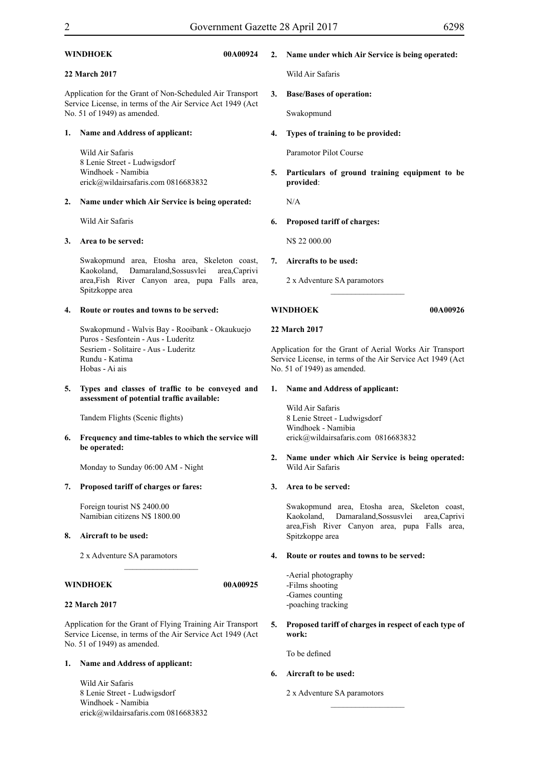| WINDHOEK |
|----------|
|----------|

# **22 March 2017**

Application for the Grant of Non-Scheduled Air Transport Service License, in terms of the Air Service Act 1949 (Act No. 51 of 1949) as amended.

#### **1. Name and Address of applicant:**

Wild Air Safaris 8 Lenie Street - Ludwigsdorf Windhoek - Namibia erick@wildairsafaris.com 0816683832

#### **2. Name under which Air Service is being operated:**

Wild Air Safaris

#### **3. Area to be served:**

Swakopmund area, Etosha area, Skeleton coast, Kaokoland, Damaraland,Sossusvlei area,Caprivi area,Fish River Canyon area, pupa Falls area, Spitzkoppe area

#### **4. Route or routes and towns to be served:**

Swakopmund - Walvis Bay - Rooibank - Okaukuejo Puros - Sesfontein - Aus - Luderitz Sesriem - Solitaire - Aus - Luderitz Rundu - Katima Hobas - Ai ais

#### **5. Types and classes of traffic to be conveyed and assessment of potential traffic available:**

Tandem Flights (Scenic flights)

**6. Frequency and time-tables to which the service will be operated:**

Monday to Sunday 06:00 AM - Night

#### **7. Proposed tariff of charges or fares:**

Foreign tourist N\$ 2400.00 Namibian citizens N\$ 1800.00

#### **8. Aircraft to be used:**

2 x Adventure SA paramotors

# **WINDHOEK 00A00925**

### **22 March 2017**

Application for the Grant of Flying Training Air Transport Service License, in terms of the Air Service Act 1949 (Act No. 51 of 1949) as amended.

 $\frac{1}{2}$  ,  $\frac{1}{2}$  ,  $\frac{1}{2}$  ,  $\frac{1}{2}$  ,  $\frac{1}{2}$  ,  $\frac{1}{2}$  ,  $\frac{1}{2}$  ,  $\frac{1}{2}$  ,  $\frac{1}{2}$ 

#### **1. Name and Address of applicant:**

Wild Air Safaris 8 Lenie Street - Ludwigsdorf Windhoek - Namibia erick@wildairsafaris.com 0816683832

# **2. Name under which Air Service is being operated:**

Wild Air Safaris

# **3. Base/Bases of operation:**

Swakopmund

#### **4. Types of training to be provided:**

Paramotor Pilot Course

**5. Particulars of ground training equipment to be provided**:

N/A

#### **6. Proposed tariff of charges:**

N\$ 22 000.00

**7. Aircrafts to be used:**

2 x Adventure SA paramotors

# **WINDHOEK 00A00926**

#### **22 March 2017**

Application for the Grant of Aerial Works Air Transport Service License, in terms of the Air Service Act 1949 (Act No. 51 of 1949) as amended.

 $\_$ 

### **1. Name and Address of applicant:**

Wild Air Safaris 8 Lenie Street - Ludwigsdorf Windhoek - Namibia erick@wildairsafaris.com 0816683832

**2. Name under which Air Service is being operated:** Wild Air Safaris

### **3. Area to be served:**

Swakopmund area, Etosha area, Skeleton coast, Kaokoland, Damaraland,Sossusvlei area,Caprivi area,Fish River Canyon area, pupa Falls area, Spitzkoppe area

### **4. Route or routes and towns to be served:**

-Aerial photography -Films shooting -Games counting -poaching tracking

**5. Proposed tariff of charges in respect of each type of work:**

 $\frac{1}{2}$  ,  $\frac{1}{2}$  ,  $\frac{1}{2}$  ,  $\frac{1}{2}$  ,  $\frac{1}{2}$  ,  $\frac{1}{2}$  ,  $\frac{1}{2}$  ,  $\frac{1}{2}$  ,  $\frac{1}{2}$  ,  $\frac{1}{2}$ 

To be defined

# **6. Aircraft to be used:**

2 x Adventure SA paramotors

# **WINDHOEK 00A00924**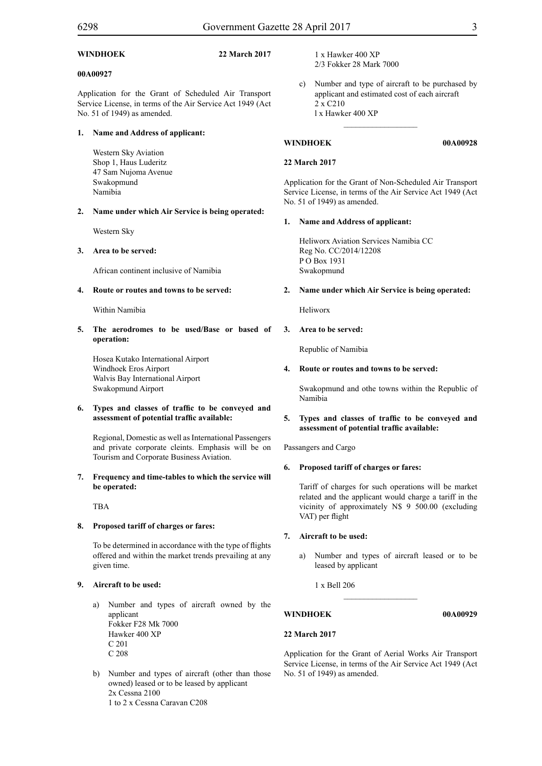### **WINDHOEK 22 March 2017**

### **00A00927**

Application for the Grant of Scheduled Air Transport Service License, in terms of the Air Service Act 1949 (Act No. 51 of 1949) as amended.

# **1. Name and Address of applicant:**

Western Sky Aviation Shop 1, Haus Luderitz 47 Sam Nujoma Avenue Swakopmund Namibia

# **2. Name under which Air Service is being operated:**

Western Sky

# **3. Area to be served:**

African continent inclusive of Namibia

# **4. Route or routes and towns to be served:**

Within Namibia

**5. The aerodromes to be used/Base or based of operation:**

Hosea Kutako International Airport Windhoek Eros Airport Walvis Bay International Airport Swakopmund Airport

### **6. Types and classes of traffic to be conveyed and assessment of potential traffic available:**

Regional, Domestic as well as International Passengers and private corporate cleints. Emphasis will be on Tourism and Corporate Business Aviation.

**7. Frequency and time-tables to which the service will be operated:**

TBA

# **8. Proposed tariff of charges or fares:**

To be determined in accordance with the type of flights offered and within the market trends prevailing at any given time.

# **9. Aircraft to be used:**

- a) Number and types of aircraft owned by the applicant Fokker F28 Mk 7000 Hawker 400 XP C 201 C 208
- b) Number and types of aircraft (other than those owned) leased or to be leased by applicant 2x Cessna 2100 1 to 2 x Cessna Caravan C208
- 1 x Hawker 400 XP 2/3 Fokker 28 Mark 7000
- c) Number and type of aircraft to be purchased by applicant and estimated cost of each aircraft 2 x C210 l x Hawker 400 XP

 $\frac{1}{2}$  ,  $\frac{1}{2}$  ,  $\frac{1}{2}$  ,  $\frac{1}{2}$  ,  $\frac{1}{2}$  ,  $\frac{1}{2}$  ,  $\frac{1}{2}$ 

# **WINDHOEK 00A00928**

# **22 March 2017**

Application for the Grant of Non-Scheduled Air Transport Service License, in terms of the Air Service Act 1949 (Act No. 51 of 1949) as amended.

# **1. Name and Address of applicant:**

Heliworx Aviation Services Namibia CC Reg No. CC/2014/12208 P O Box 1931 Swakopmund

# **2. Name under which Air Service is being operated:**

Heliworx

# **3. Area to be served:**

Republic of Namibia

# **4. Route or routes and towns to be served:**

Swakopmund and othe towns within the Republic of Namibia

### **5. Types and classes of traffic to be conveyed and assessment of potential traffic available:**

Passangers and Cargo

# **6. Proposed tariff of charges or fares:**

Tariff of charges for such operations will be market related and the applicant would charge a tariff in the vicinity of approximately N\$ 9 500.00 (excluding VAT) per flight

# **7. Aircraft to be used:**

- a) Number and types of aircraft leased or to be leased by applicant
	- 1 x Bell 206

# **WINDHOEK 00A00929**

# **22 March 2017**

Application for the Grant of Aerial Works Air Transport Service License, in terms of the Air Service Act 1949 (Act No. 51 of 1949) as amended.

 $\frac{1}{2}$  ,  $\frac{1}{2}$  ,  $\frac{1}{2}$  ,  $\frac{1}{2}$  ,  $\frac{1}{2}$  ,  $\frac{1}{2}$  ,  $\frac{1}{2}$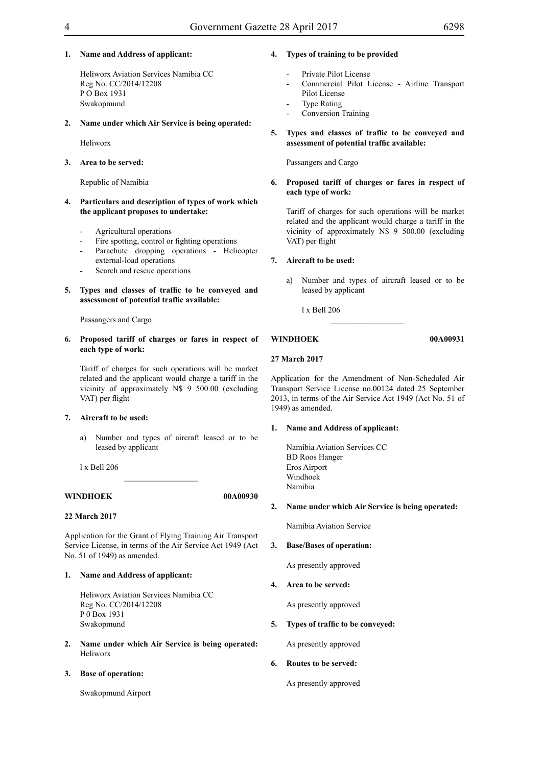### **1. Name and Address of applicant:**

Heliworx Aviation Services Namibia CC Reg No. CC/2014/12208 P O Box 1931 Swakopmund

#### **2. Name under which Air Service is being operated:**

Heliworx

### **3. Area to be served:**

Republic of Namibia

- **4. Particulars and description of types of work which the applicant proposes to undertake:**
	- Agricultural operations
	- Fire spotting, control or fighting operations
	- Parachute dropping operations Helicopter external-load operations
	- Search and rescue operations
- **5. Types and classes of traffic to be conveyed and assessment of potential traffic available:**

Passangers and Cargo

#### **6. Proposed tariff of charges or fares in respect of each type of work:**

Tariff of charges for such operations will be market related and the applicant would charge a tariff in the vicinity of approximately N\$ 9 500.00 (excluding VAT) per flight

#### **7. Aircraft to be used:**

a) Number and types of aircraft leased or to be leased by applicant

l x Bell 206

# **WINDHOEK 00A00930**

#### **22 March 2017**

Application for the Grant of Flying Training Air Transport Service License, in terms of the Air Service Act 1949 (Act No. 51 of 1949) as amended.

 $\overline{\phantom{a}}$  , where  $\overline{\phantom{a}}$ 

# **1. Name and Address of applicant:**

Heliworx Aviation Services Namibia CC Reg No. CC/2014/12208 P 0 Box 1931 Swakopmund

**2. Name under which Air Service is being operated:** Heliworx

#### **3. Base of operation:**

Swakopmund Airport

# **4. Types of training to be provided**

- Private Pilot License
- Commercial Pilot License Airline Transport Pilot License
- Type Rating
- Conversion Training
- **5. Types and classes of traffic to be conveyed and assessment of potential traffic available:**

#### Passangers and Cargo

#### **6. Proposed tariff of charges or fares in respect of each type of work:**

Tariff of charges for such operations will be market related and the applicant would charge a tariff in the vicinity of approximately N\$ 9 500.00 (excluding VAT) per flight

#### **7. Aircraft to be used:**

a) Number and types of aircraft leased or to be leased by applicant

 $\_$ 

l x Bell 206

#### **WINDHOEK 00A00931**

### **27 March 2017**

Application for the Amendment of Non-Scheduled Air Transport Service License no.00124 dated 25 September 2013, in terms of the Air Service Act 1949 (Act No. 51 of 1949) as amended.

#### **1. Name and Address of applicant:**

Namibia Aviation Services CC BD Roos Hanger Eros Airport Windhoek Namibia

#### **2. Name under which Air Service is being operated:**

Namibia Aviation Service

#### **3. Base/Bases of operation:**

As presently approved

### **4. Area to be served:**

As presently approved

### **5. Types of traffic to be conveyed:**

As presently approved

# **6. Routes to be served:**

As presently approved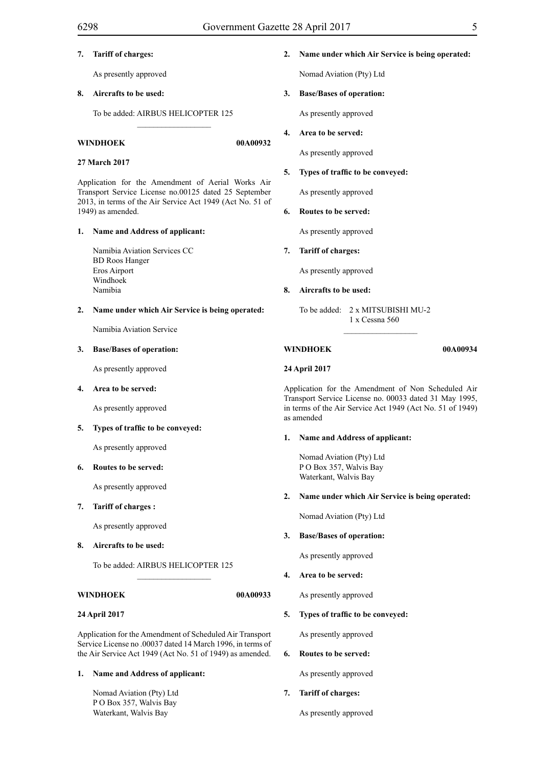# **7. Tariff of charges:**

As presently approved

### **8. Aircrafts to be used:**

To be added: AIRBUS HELICOPTER 125

 $\_$ 

#### **WINDHOEK 00A00932**

#### **27 March 2017**

Application for the Amendment of Aerial Works Air Transport Service License no.00125 dated 25 September 2013, in terms of the Air Service Act 1949 (Act No. 51 of 1949) as amended.

#### **1. Name and Address of applicant:**

Namibia Aviation Services CC BD Roos Hanger Eros Airport Windhoek Namibia

#### **2. Name under which Air Service is being operated:**

Namibia Aviation Service

#### **3. Base/Bases of operation:**

As presently approved

#### **4. Area to be served:**

As presently approved

#### **5. Types of traffic to be conveyed:**

As presently approved

#### **6. Routes to be served:**

As presently approved

#### **7. Tariff of charges :**

As presently approved

**8. Aircrafts to be used:**

To be added: AIRBUS HELICOPTER 125

 $\frac{1}{2}$  ,  $\frac{1}{2}$  ,  $\frac{1}{2}$  ,  $\frac{1}{2}$  ,  $\frac{1}{2}$  ,  $\frac{1}{2}$  ,  $\frac{1}{2}$  ,  $\frac{1}{2}$  ,  $\frac{1}{2}$  ,  $\frac{1}{2}$ 

#### **WINDHOEK 00A00933**

#### **24 April 2017**

Application for the Amendment of Scheduled Air Transport Service License no .00037 dated 14 March 1996, in terms of the Air Service Act 1949 (Act No. 51 of 1949) as amended.

# **1. Name and Address of applicant:**

Nomad Aviation (Pty) Ltd P O Box 357, Walvis Bay Waterkant, Walvis Bay

# **2. Name under which Air Service is being operated:**

Nomad Aviation (Pty) Ltd

# **3. Base/Bases of operation:**

As presently approved

### **4. Area to be served:**

As presently approved

#### **5. Types of traffic to be conveyed:**

As presently approved

#### **6. Routes to be served:**

As presently approved

#### **7. Tariff of charges:**

As presently approved

#### **8. Aircrafts to be used:**

To be added: 2 x MITSUBISHI MU-2 1 x Cessna 560

 $\overline{\phantom{a}}$  ,  $\overline{\phantom{a}}$  ,  $\overline{\phantom{a}}$  ,  $\overline{\phantom{a}}$  ,  $\overline{\phantom{a}}$  ,  $\overline{\phantom{a}}$  ,  $\overline{\phantom{a}}$  ,  $\overline{\phantom{a}}$  ,  $\overline{\phantom{a}}$  ,  $\overline{\phantom{a}}$  ,  $\overline{\phantom{a}}$  ,  $\overline{\phantom{a}}$  ,  $\overline{\phantom{a}}$  ,  $\overline{\phantom{a}}$  ,  $\overline{\phantom{a}}$  ,  $\overline{\phantom{a}}$ 

#### **WINDHOEK 00A00934**

#### **24 April 2017**

Application for the Amendment of Non Scheduled Air Transport Service License no. 00033 dated 31 May 1995, in terms of the Air Service Act 1949 (Act No. 51 of 1949) as amended

#### **1. Name and Address of applicant:**

Nomad Aviation (Pty) Ltd P O Box 357, Walvis Bay Waterkant, Walvis Bay

#### **2. Name under which Air Service is being operated:**

Nomad Aviation (Pty) Ltd

#### **3. Base/Bases of operation:**

As presently approved

**4. Area to be served:**

As presently approved

#### **5. Types of traffic to be conveyed:**

As presently approved

**6. Routes to be served:**

As presently approved

**7. Tariff of charges:**

As presently approved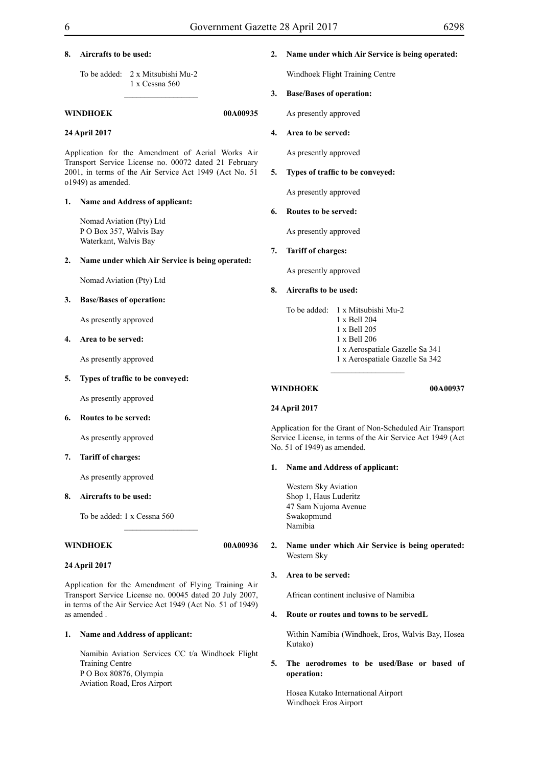### **8. Aircrafts to be used:**

To be added: 2 x Mitsubishi Mu-2 1 x Cessna 560

#### **WINDHOEK 00A00935**

#### **24 April 2017**

Application for the Amendment of Aerial Works Air Transport Service License no. 00072 dated 21 February 2001, in terms of the Air Service Act 1949 (Act No. 51 o1949) as amended.

 $\frac{1}{2}$  ,  $\frac{1}{2}$  ,  $\frac{1}{2}$  ,  $\frac{1}{2}$  ,  $\frac{1}{2}$  ,  $\frac{1}{2}$  ,  $\frac{1}{2}$  ,  $\frac{1}{2}$  ,  $\frac{1}{2}$ 

#### **1. Name and Address of applicant:**

Nomad Aviation (Pty) Ltd P O Box 357, Walvis Bay Waterkant, Walvis Bay

#### **2. Name under which Air Service is being operated:**

Nomad Aviation (Pty) Ltd

#### **3. Base/Bases of operation:**

As presently approved

#### **4. Area to be served:**

As presently approved

#### **5. Types of traffic to be conveyed:**

As presently approved

**6. Routes to be served:**

As presently approved

#### **7. Tariff of charges:**

As presently approved

#### **8. Aircrafts to be used:**

To be added: 1 x Cessna 560

#### **WINDHOEK 00A00936**

# **24 April 2017**

Application for the Amendment of Flying Training Air Transport Service License no. 00045 dated 20 July 2007, in terms of the Air Service Act 1949 (Act No. 51 of 1949) as amended .

 $\overline{\phantom{a}}$  , where  $\overline{\phantom{a}}$ 

#### **1. Name and Address of applicant:**

Namibia Aviation Services CC t/a Windhoek Flight Training Centre P O Box 80876, Olympia Aviation Road, Eros Airport

#### **2. Name under which Air Service is being operated:**

Windhoek Flight Training Centre

# **3. Base/Bases of operation:**

As presently approved

#### **4. Area to be served:**

As presently approved

#### **5. Types of traffic to be conveyed:**

As presently approved

#### **6. Routes to be served:**

As presently approved

#### **7. Tariff of charges:**

As presently approved

#### **8. Aircrafts to be used:**

To be added: 1 x Mitsubishi Mu-2 1 x Bell 204

1 x Bell 205

 $\frac{1}{2}$  ,  $\frac{1}{2}$  ,  $\frac{1}{2}$  ,  $\frac{1}{2}$  ,  $\frac{1}{2}$  ,  $\frac{1}{2}$  ,  $\frac{1}{2}$  ,  $\frac{1}{2}$  ,  $\frac{1}{2}$  ,  $\frac{1}{2}$ 

- 1 x Bell 206
- 1 x Aerospatiale Gazelle Sa 341
- 1 x Aerospatiale Gazelle Sa 342

#### **WINDHOEK 00A00937**

# **24 April 2017**

Application for the Grant of Non-Scheduled Air Transport Service License, in terms of the Air Service Act 1949 (Act No. 51 of 1949) as amended.

#### **1. Name and Address of applicant:**

Western Sky Aviation Shop 1, Haus Luderitz 47 Sam Nujoma Avenue Swakopmund Namibia

#### **2. Name under which Air Service is being operated:** Western Sky

#### **3. Area to be served:**

African continent inclusive of Namibia

#### **4. Route or routes and towns to be servedL**

Within Namibia (Windhoek, Eros, Walvis Bay, Hosea Kutako)

# **5. The aerodromes to be used/Base or based of operation:**

Hosea Kutako International Airport Windhoek Eros Airport